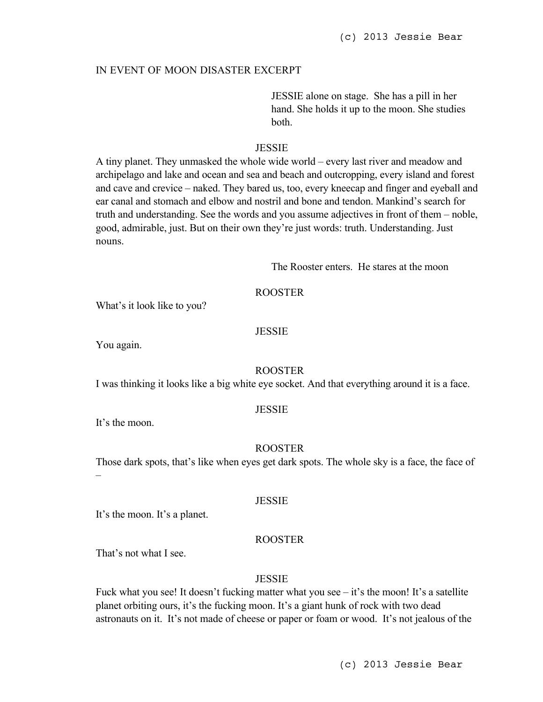## IN EVENT OF MOON DISASTER EXCERPT

JESSIE alone on stage. She has a pill in her hand. She holds it up to the moon. She studies both.

# **JESSIE**

A tiny planet. They unmasked the whole wide world – every last river and meadow and archipelago and lake and ocean and sea and beach and outcropping, every island and forest and cave and crevice – naked. They bared us, too, every kneecap and finger and eyeball and ear canal and stomach and elbow and nostril and bone and tendon. Mankind's search for truth and understanding. See the words and you assume adjectives in front of them – noble, good, admirable, just. But on their own they're just words: truth. Understanding. Just nouns.

The Rooster enters. He stares at the moon

# ROOSTER

What's it look like to you?

# **JESSIE**

You again.

#### ROOSTER

I was thinking it looks like a big white eye socket. And that everything around it is a face.

### **JESSIE**

It's the moon.

–

## ROOSTER

Those dark spots, that's like when eyes get dark spots. The whole sky is a face, the face of

#### **JESSIE**

It's the moon. It's a planet.

# ROOSTER

That's not what I see.

#### **JESSIE**

Fuck what you see! It doesn't fucking matter what you see  $-$  it's the moon! It's a satellite planet orbiting ours, it's the fucking moon. It's a giant hunk of rock with two dead astronauts on it. It's not made of cheese or paper or foam or wood. It's not jealous of the